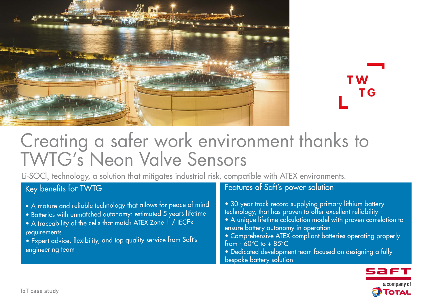

T W T<sub>G</sub>

# Creating a safer work environment thanks to TWTG's Neon Valve Sensors

Li-SOCl<sub>2</sub> technology, a solution that mitigates industrial risk, compatible with ATEX environments.

## Key benefits for TWTG

- A mature and reliable technology that allows for peace of mind
- Batteries with unmatched autonomy: estimated 5 years lifetime
- A traceability of the cells that match ATEX Zone 1 / IECEx requirements
- Expert advice, flexibility, and top quality service from Saft's engineering team

### Features of Saft's power solution

- 30-year track record supplying primary lithium battery technology, that has proven to offer excellent reliability
- A unique lifetime calculation model with proven correlation to ensure battery autonomy in operation
- Comprehensive ATEX-compliant batteries operating properly from  $-60^{\circ}$ C to  $+85^{\circ}$ C
- Dedicated development team focused on designing a fully bespoke battery solution